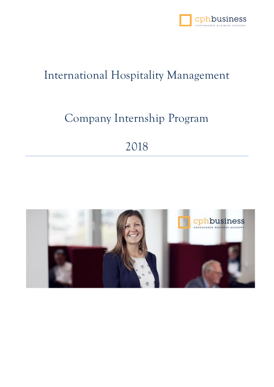

## International Hospitality Management

## Company Internship Program

# 2018

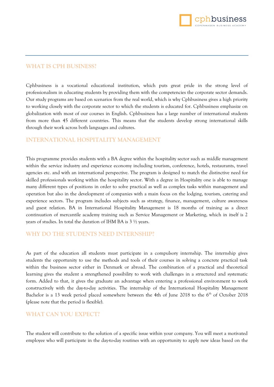

#### **WHAT IS CPH BUSINESS?**

Cphbusiness is a vocational educational institution, which puts great pride in the strong level of professionalism in educating students by providing them with the competencies the corporate sector demands. Our study programs are based on scenarios from the real world, which is why Cphbusiness gives a high priority to working closely with the corporate sector to which the students is educated for. Cphbusiness emphasize on globalization with most of our courses in English. Cphbusiness has a large number of international students from more than 45 different countries. This means that the students develop strong international skills through their work across both languages and cultures.

#### **INTERNATIONAL HOSPITALITY MANAGEMENT**

This programme provides students with a BA degree within the hospitality sector such as middle management within the service industry and experience economy including tourism, conference, hotels, restaurants, travel agencies etc. and with an international perspective. The program is designed to match the distinctive need for skilled professionals working within the hospitality sector. With a degree in Hospitality one is able to manage many different types of positions in order to solve practical as well as complex tasks within management and operation but also in the development of companies with a main focus on the lodging, tourism, catering and experience sectors. The program includes subjects such as strategy, finance, management, culture awareness and guest relation. BA in International Hospitality Management is 18 months of training as a direct continuation of mercantile academy training such as Service Management or Marketing, which in itself is 2 years of studies. In total the duration of IHM BA is 3 ½ years.

#### **WHY DO THE STUDENTS NEED INTERNSHIP?**

As part of the education all students must participate in a compulsory internship. The internship gives students the opportunity to use the methods and tools of their courses in solving a concrete practical task within the business sector either in Denmark or abroad. The combination of a practical and theoretical learning gives the student a strengthened possibility to work with challenges in a structured and systematic form. Added to that, it gives the graduate an advantage when entering a professional environment to work constructively with the day-to-day activities. The internship of the International Hospitality Management Bachelor is a 13 week period placed somewhere between the 4th of June 2018 to the 6<sup>th</sup> of October 2018 (please note that the period is flexible).

#### **WHAT CAN YOU EXPECT?**

The student will contribute to the solution of a specific issue within your company. You will meet a motivated employee who will participate in the day-to-day routines with an opportunity to apply new ideas based on the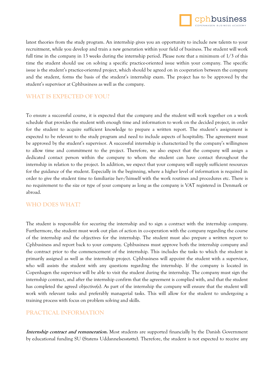

latest theories from the study program. An internship gives you an opportunity to include new talents to your recruitment, while you develop and train a new generation within your field of business. The student will work full time in the company in 13 weeks during the internship period. Please note that a minimum of 1/3 of this time the student should use on solving a specific practice-oriented issue within your company. The specific issue is the student's practice-oriented project, which should be agreed on in cooperation between the company and the student, forms the basis of the student's internship exam. The project has to be approved by the student's supervisor at Cphbusiness as well as the company.

### **WHAT IS EXPECTED OF YOU?**

To ensure a successful course, it is expected that the company and the student will work together on a work schedule that provides the student with enough time and information to work on the decided project, in order for the student to acquire sufficient knowledge to prepare a written report. The student's assignment is expected to be relevant to the study program and need to include aspects of hospitality. The agreement must be approved by the student's supervisor. A successful internship is characterized by the company's willingness to allow time and commitment to the project. Therefore, we also expect that the company will assign a dedicated contact person within the company to whom the student can have contact throughout the internship in relation to the project. In addition, we expect that your company will supply sufficient resources for the guidance of the student. Especially in the beginning, where a higher level of information is required in order to give the student time to familiarize her-/himself with the work routines and procedures etc. There is no requirement to the size or type of your company as long as the company is VAT registered in Denmark or abroad.

### **WHO DOES WHAT?**

The student is responsible for securing the internship and to sign a contract with the internship company. Furthermore, the student must work out plan of action in co-operation with the company regarding the course of the internship and the objectives for the internship. The student must also prepare a written report to Cphbusiness and report back to your company. Cphbusiness must approve both the internship company and the contract prior to the commencement of the internship. This includes the tasks to which the student is primarily assigned as well as the internship project. Cphbusiness will appoint the student with a supervisor, who will assists the student with any questions regarding the internship. If the company is located in Copenhagen the supervisor will be able to visit the student during the internship. The company must sign the internship contract, and after the internship confirm that the agreement is complied with, and that the student has completed the agreed objective(s). As part of the internship the company will ensure that the student will work with relevant tasks and preferably managerial tasks. This will allow for the student to undergoing a training process with focus on problem solving and skills.

#### **PRACTICAL INFORMATION**

**Internship contract and remuneration.** Most students are supported financially by the Danish Government by educational funding SU (Statens Uddannelsesstøtte). Therefore, the student is not expected to receive any